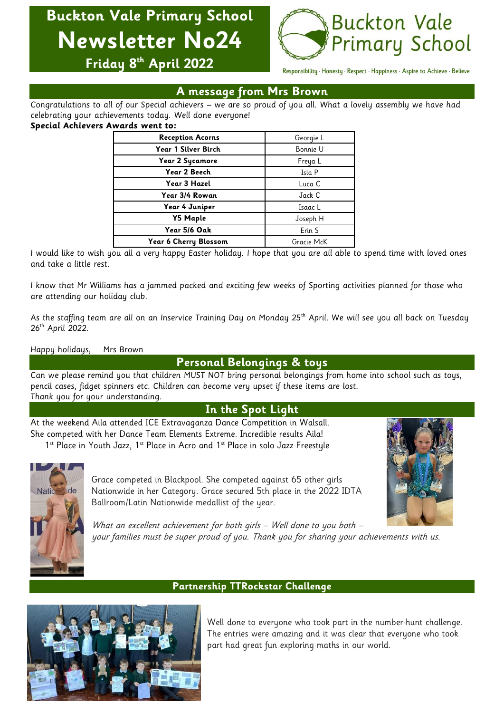# **Buckton Vale Primary School Newsletter No24**



**Friday 8 th April 2022**

Responsibility · Honesty · Respect · Happiness · Aspire to Achieve · Believe

## **A message from Mrs Brown**

Congratulations to all of our Special achievers – we are so proud of you all. What a lovely assembly we have had celebrating your achievements today. Well done everyone!

#### **Special Achievers Awards went to:**

| <b>Reception Acorns</b> | Georgie L  |  |
|-------------------------|------------|--|
| Year 1 Silver Birch     | Bonnie U   |  |
| Year 2 Sycamore         | Freya L    |  |
| Year 2 Beech            | Isla P     |  |
| Year 3 Hazel            | Luca C     |  |
| Year 3/4 Rowan          | Jack C     |  |
| Year 4 Juniper          | Isaac L    |  |
| <b>Y5 Maple</b>         | Joseph H   |  |
| Year 5/6 Oak            | Erin S     |  |
| Year 6 Cherry Blossom   | Gracie McK |  |

I would like to wish you all a very happy Easter holiday. I hope that you are all able to spend time with loved ones and take a little rest.

I know that Mr Williams has a jammed packed and exciting few weeks of Sporting activities planned for those who are attending our holiday club.

As the staffing team are all on an Inservice Training Day on Monday 25<sup>th</sup> April. We will see you all back on Tuesday 26<sup>th</sup> April 2022.

### Happy holidays, Mrs Brown

## **Personal Belongings & toys**

Can we please remind you that children MUST NOT bring personal belongings from home into school such as toys, pencil cases, fidget spinners etc. Children can become very upset if these items are lost. Thank you for your understanding.

## **In the Spot Light**

At the weekend Aila attended ICE Extravaganza Dance Competition in Walsall. She competed with her Dance Team Elements Extreme. Incredible results Aila! 1st Place in Youth Jazz, 1st Place in Acro and 1st Place in solo Jazz Freestyle



Grace competed in Blackpool. She competed against 65 other girls Nationwide in her Category. Grace secured 5th place in the 2022 IDTA Ballroom/Latin Nationwide medallist of the year.



What an excellent achievement for both girls - Well done to you both your families must be super proud of you. Thank you for sharing your achievements with us.

## **Partnership TTRockstar Challenge**



Well done to everyone who took part in the number-hunt challenge. The entries were amazing and it was clear that everyone who took part had great fun exploring maths in our world.